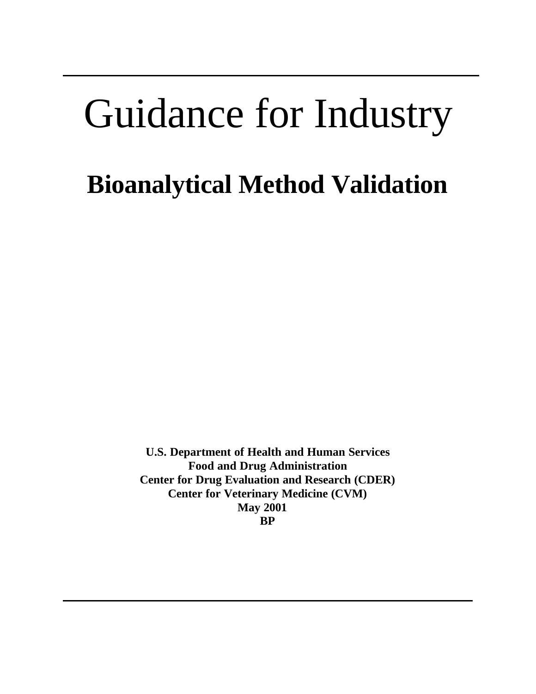# Guidance for Industry

## **Bioanalytical Method Validation**

**U.S. Department of Health and Human Services Food and Drug Administration Center for Drug Evaluation and Research (CDER) Center for Veterinary Medicine (CVM) May 2001 BP**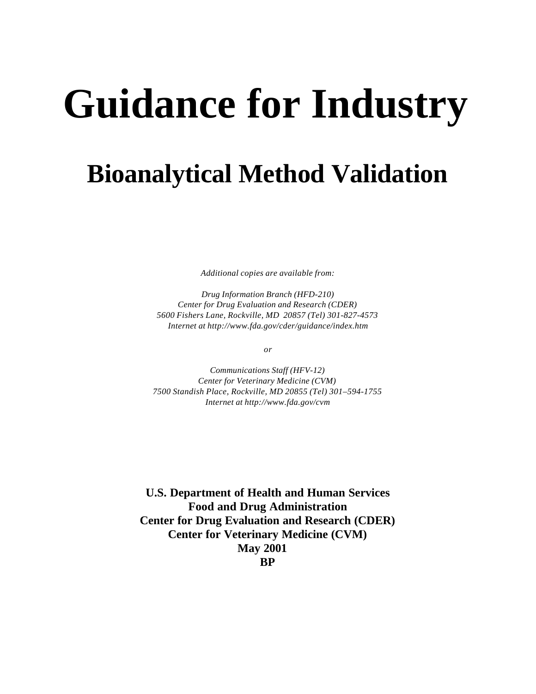# **Guidance for Industry**

## **Bioanalytical Method Validation**

*Additional copies are available from:*

*Drug Information Branch (HFD-210) Center for Drug Evaluation and Research (CDER) 5600 Fishers Lane, Rockville, MD 20857 (Tel) 301-827-4573 Internet at http://www.fda.gov/cder/guidance/index.htm*

*or*

*Communications Staff (HFV-12) Center for Veterinary Medicine (CVM) 7500 Standish Place, Rockville, MD 20855 (Tel) 301–594-1755 Internet at http://www.fda.gov/cvm*

**U.S. Department of Health and Human Services Food and Drug Administration Center for Drug Evaluation and Research (CDER) Center for Veterinary Medicine (CVM) May 2001 BP**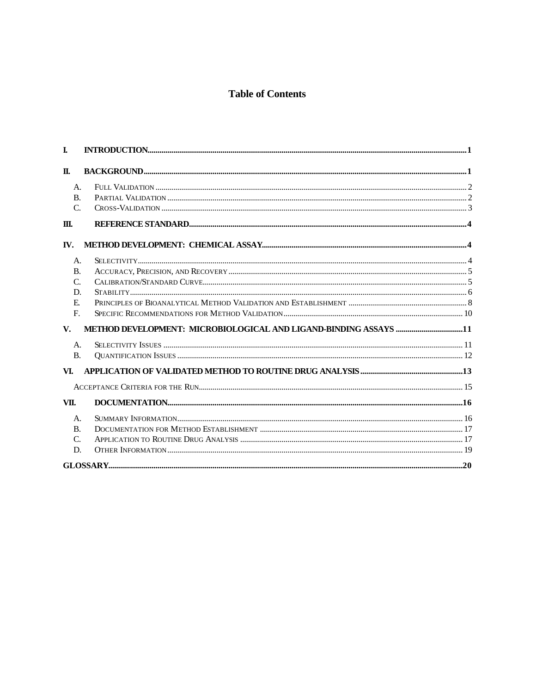#### **Table of Contents**

| L             |  |
|---------------|--|
| П.            |  |
| A.            |  |
| B.            |  |
| $\mathcal{C}$ |  |
| III.          |  |
| IV.           |  |
| A.            |  |
| B.            |  |
| C.            |  |
| D.            |  |
| E.            |  |
| F.            |  |
| V.            |  |
| A.            |  |
| <b>B.</b>     |  |
| VI.           |  |
|               |  |
| VII.          |  |
| A.            |  |
| <b>B.</b>     |  |
| $\mathcal{C}$ |  |
| D.            |  |
|               |  |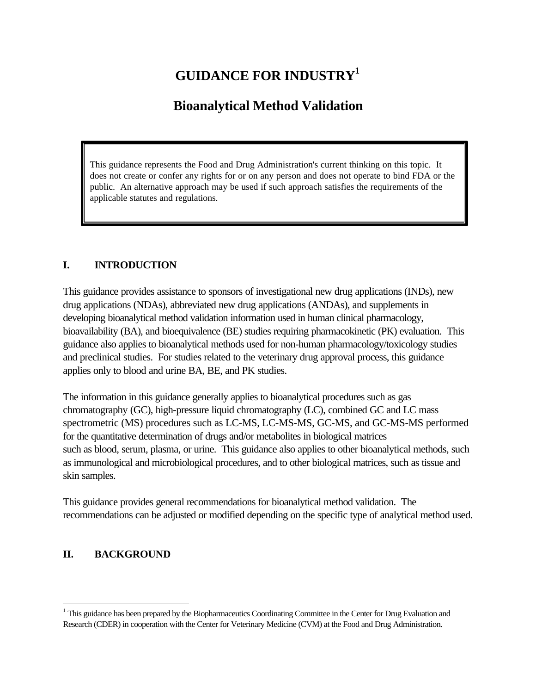### **GUIDANCE FOR INDUSTRY<sup>1</sup>**

### **Bioanalytical Method Validation**

This guidance represents the Food and Drug Administration's current thinking on this topic. It does not create or confer any rights for or on any person and does not operate to bind FDA or the public. An alternative approach may be used if such approach satisfies the requirements of the applicable statutes and regulations.

#### **I. INTRODUCTION**

This guidance provides assistance to sponsors of investigational new drug applications (INDs), new drug applications (NDAs), abbreviated new drug applications (ANDAs), and supplements in developing bioanalytical method validation information used in human clinical pharmacology, bioavailability (BA), and bioequivalence (BE) studies requiring pharmacokinetic (PK) evaluation. This guidance also applies to bioanalytical methods used for non-human pharmacology/toxicology studies and preclinical studies. For studies related to the veterinary drug approval process, this guidance applies only to blood and urine BA, BE, and PK studies.

The information in this guidance generally applies to bioanalytical procedures such as gas chromatography (GC), high-pressure liquid chromatography (LC), combined GC and LC mass spectrometric (MS) procedures such as LC-MS, LC-MS-MS, GC-MS, and GC-MS-MS performed for the quantitative determination of drugs and/or metabolites in biological matrices such as blood, serum, plasma, or urine. This guidance also applies to other bioanalytical methods, such as immunological and microbiological procedures, and to other biological matrices, such as tissue and skin samples.

This guidance provides general recommendations for bioanalytical method validation. The recommendations can be adjusted or modified depending on the specific type of analytical method used.

#### **II. BACKGROUND**

<sup>&</sup>lt;sup>1</sup> This guidance has been prepared by the Biopharmaceutics Coordinating Committee in the Center for Drug Evaluation and Research (CDER) in cooperation with the Center for Veterinary Medicine (CVM) at the Food and Drug Administration.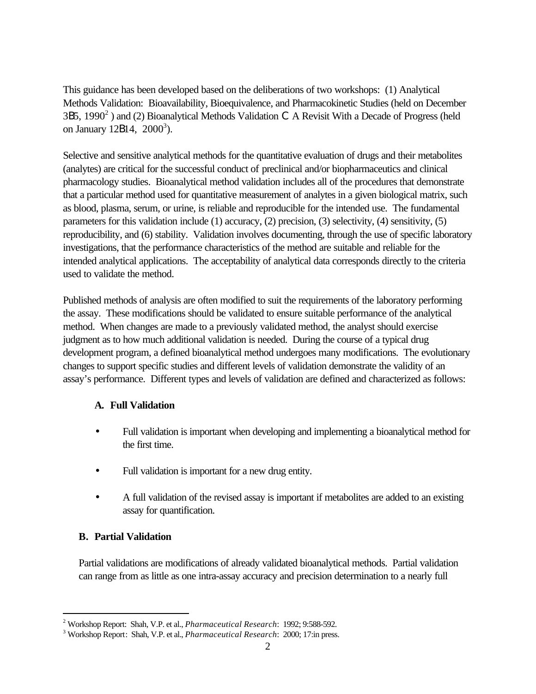This guidance has been developed based on the deliberations of two workshops: (1) Analytical Methods Validation: Bioavailability, Bioequivalence, and Pharmacokinetic Studies (held on December 3B5, 1990<sup>2</sup>) and (2) Bioanalytical Methods Validation  $C$  A Revisit With a Decade of Progress (held on January 12B14,  $2000^3$ ).

Selective and sensitive analytical methods for the quantitative evaluation of drugs and their metabolites (analytes) are critical for the successful conduct of preclinical and/or biopharmaceutics and clinical pharmacology studies. Bioanalytical method validation includes all of the procedures that demonstrate that a particular method used for quantitative measurement of analytes in a given biological matrix, such as blood, plasma, serum, or urine, is reliable and reproducible for the intended use. The fundamental parameters for this validation include (1) accuracy, (2) precision, (3) selectivity, (4) sensitivity, (5) reproducibility, and (6) stability. Validation involves documenting, through the use of specific laboratory investigations, that the performance characteristics of the method are suitable and reliable for the intended analytical applications. The acceptability of analytical data corresponds directly to the criteria used to validate the method.

Published methods of analysis are often modified to suit the requirements of the laboratory performing the assay. These modifications should be validated to ensure suitable performance of the analytical method. When changes are made to a previously validated method, the analyst should exercise judgment as to how much additional validation is needed. During the course of a typical drug development program, a defined bioanalytical method undergoes many modifications. The evolutionary changes to support specific studies and different levels of validation demonstrate the validity of an assay's performance. Different types and levels of validation are defined and characterized as follows:

#### **A. Full Validation**

- Full validation is important when developing and implementing a bioanalytical method for the first time.
- Full validation is important for a new drug entity.
- A full validation of the revised assay is important if metabolites are added to an existing assay for quantification.

#### **B. Partial Validation**

Partial validations are modifications of already validated bioanalytical methods. Partial validation can range from as little as one intra-assay accuracy and precision determination to a nearly full

<sup>2</sup> Workshop Report: Shah, V.P. et al., *Pharmaceutical Research*: 1992; 9:588-592.

<sup>3</sup> Workshop Report: Shah, V.P. et al., *Pharmaceutical Research*: 2000; 17:in press.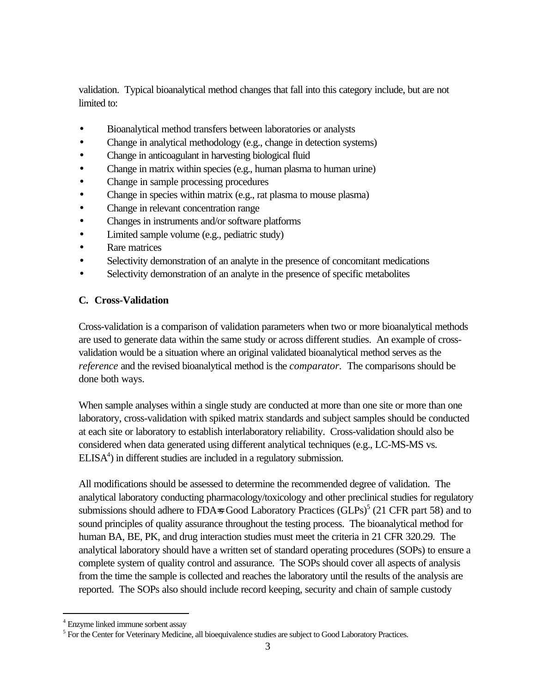validation. Typical bioanalytical method changes that fall into this category include, but are not limited to:

- Bioanalytical method transfers between laboratories or analysts
- Change in analytical methodology (e.g., change in detection systems)
- Change in anticoagulant in harvesting biological fluid
- Change in matrix within species (e.g., human plasma to human urine)
- Change in sample processing procedures
- Change in species within matrix (e.g., rat plasma to mouse plasma)
- Change in relevant concentration range
- Changes in instruments and/or software platforms
- Limited sample volume (e.g., pediatric study)
- Rare matrices
- Selectivity demonstration of an analyte in the presence of concomitant medications
- Selectivity demonstration of an analyte in the presence of specific metabolites

#### **C. Cross-Validation**

Cross-validation is a comparison of validation parameters when two or more bioanalytical methods are used to generate data within the same study or across different studies. An example of crossvalidation would be a situation where an original validated bioanalytical method serves as the *reference* and the revised bioanalytical method is the *comparator.* The comparisons should be done both ways.

When sample analyses within a single study are conducted at more than one site or more than one laboratory, cross-validation with spiked matrix standards and subject samples should be conducted at each site or laboratory to establish interlaboratory reliability. Cross-validation should also be considered when data generated using different analytical techniques (e.g., LC-MS-MS vs. ELISA<sup>4</sup>) in different studies are included in a regulatory submission.

All modifications should be assessed to determine the recommended degree of validation. The analytical laboratory conducting pharmacology/toxicology and other preclinical studies for regulatory submissions should adhere to FDA=s Good Laboratory Practices (GLPs)<sup>5</sup> (21 CFR part 58) and to sound principles of quality assurance throughout the testing process. The bioanalytical method for human BA, BE, PK, and drug interaction studies must meet the criteria in 21 CFR 320.29. The analytical laboratory should have a written set of standard operating procedures (SOPs) to ensure a complete system of quality control and assurance. The SOPs should cover all aspects of analysis from the time the sample is collected and reaches the laboratory until the results of the analysis are reported. The SOPs also should include record keeping, security and chain of sample custody

<sup>4</sup> Enzyme linked immune sorbent assay

<sup>&</sup>lt;sup>5</sup> For the Center for Veterinary Medicine, all bioequivalence studies are subject to Good Laboratory Practices.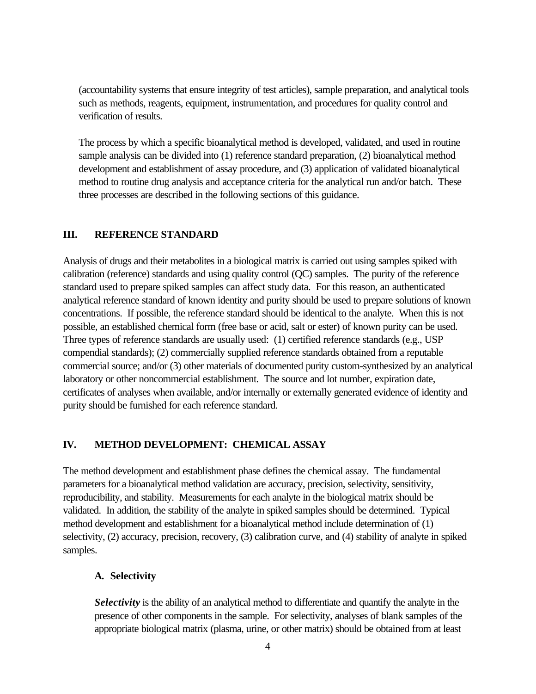(accountability systems that ensure integrity of test articles), sample preparation, and analytical tools such as methods, reagents, equipment, instrumentation, and procedures for quality control and verification of results.

The process by which a specific bioanalytical method is developed, validated, and used in routine sample analysis can be divided into (1) reference standard preparation, (2) bioanalytical method development and establishment of assay procedure, and (3) application of validated bioanalytical method to routine drug analysis and acceptance criteria for the analytical run and/or batch. These three processes are described in the following sections of this guidance.

#### **III. REFERENCE STANDARD**

Analysis of drugs and their metabolites in a biological matrix is carried out using samples spiked with calibration (reference) standards and using quality control (QC) samples. The purity of the reference standard used to prepare spiked samples can affect study data. For this reason, an authenticated analytical reference standard of known identity and purity should be used to prepare solutions of known concentrations. If possible, the reference standard should be identical to the analyte. When this is not possible, an established chemical form (free base or acid, salt or ester) of known purity can be used. Three types of reference standards are usually used: (1) certified reference standards (e.g., USP compendial standards); (2) commercially supplied reference standards obtained from a reputable commercial source; and/or (3) other materials of documented purity custom-synthesized by an analytical laboratory or other noncommercial establishment. The source and lot number, expiration date, certificates of analyses when available, and/or internally or externally generated evidence of identity and purity should be furnished for each reference standard.

#### **IV. METHOD DEVELOPMENT: CHEMICAL ASSAY**

The method development and establishment phase defines the chemical assay. The fundamental parameters for a bioanalytical method validation are accuracy, precision, selectivity, sensitivity, reproducibility, and stability. Measurements for each analyte in the biological matrix should be validated. In addition*,* the stability of the analyte in spiked samples should be determined. Typical method development and establishment for a bioanalytical method include determination of (1) selectivity, (2) accuracy, precision, recovery, (3) calibration curve, and (4) stability of analyte in spiked samples.

#### **A. Selectivity**

*Selectivity* is the ability of an analytical method to differentiate and quantify the analyte in the presence of other components in the sample. For selectivity, analyses of blank samples of the appropriate biological matrix (plasma, urine, or other matrix) should be obtained from at least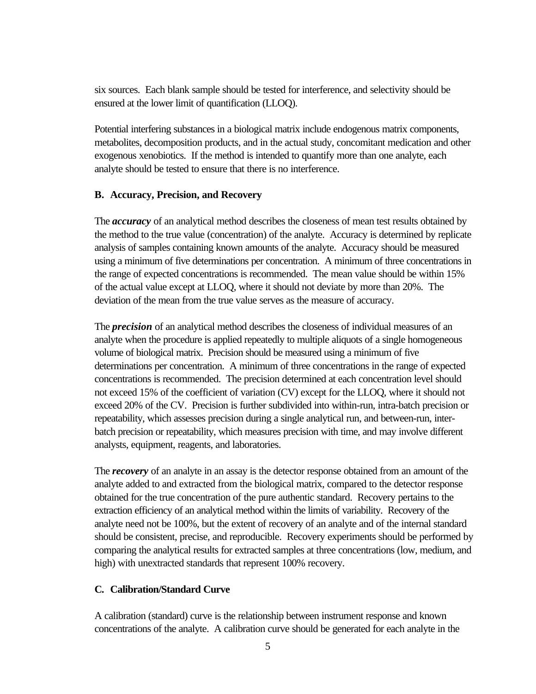six sources. Each blank sample should be tested for interference, and selectivity should be ensured at the lower limit of quantification (LLOQ).

Potential interfering substances in a biological matrix include endogenous matrix components, metabolites, decomposition products, and in the actual study, concomitant medication and other exogenous xenobiotics. If the method is intended to quantify more than one analyte, each analyte should be tested to ensure that there is no interference.

#### **B. Accuracy, Precision, and Recovery**

The *accuracy* of an analytical method describes the closeness of mean test results obtained by the method to the true value (concentration) of the analyte. Accuracy is determined by replicate analysis of samples containing known amounts of the analyte. Accuracy should be measured using a minimum of five determinations per concentration. A minimum of three concentrations in the range of expected concentrations is recommended. The mean value should be within 15% of the actual value except at LLOQ, where it should not deviate by more than 20%. The deviation of the mean from the true value serves as the measure of accuracy.

The *precision* of an analytical method describes the closeness of individual measures of an analyte when the procedure is applied repeatedly to multiple aliquots of a single homogeneous volume of biological matrix. Precision should be measured using a minimum of five determinations per concentration. A minimum of three concentrations in the range of expected concentrations is recommended. The precision determined at each concentration level should not exceed 15% of the coefficient of variation (CV) except for the LLOQ, where it should not exceed 20% of the CV. Precision is further subdivided into within-run, intra-batch precision or repeatability, which assesses precision during a single analytical run, and between-run, interbatch precision or repeatability, which measures precision with time, and may involve different analysts, equipment, reagents, and laboratories.

The *recovery* of an analyte in an assay is the detector response obtained from an amount of the analyte added to and extracted from the biological matrix, compared to the detector response obtained for the true concentration of the pure authentic standard. Recovery pertains to the extraction efficiency of an analytical method within the limits of variability. Recovery of the analyte need not be 100%, but the extent of recovery of an analyte and of the internal standard should be consistent, precise, and reproducible. Recovery experiments should be performed by comparing the analytical results for extracted samples at three concentrations (low, medium, and high) with unextracted standards that represent 100% recovery.

#### **C. Calibration/Standard Curve**

A calibration (standard) curve is the relationship between instrument response and known concentrations of the analyte. A calibration curve should be generated for each analyte in the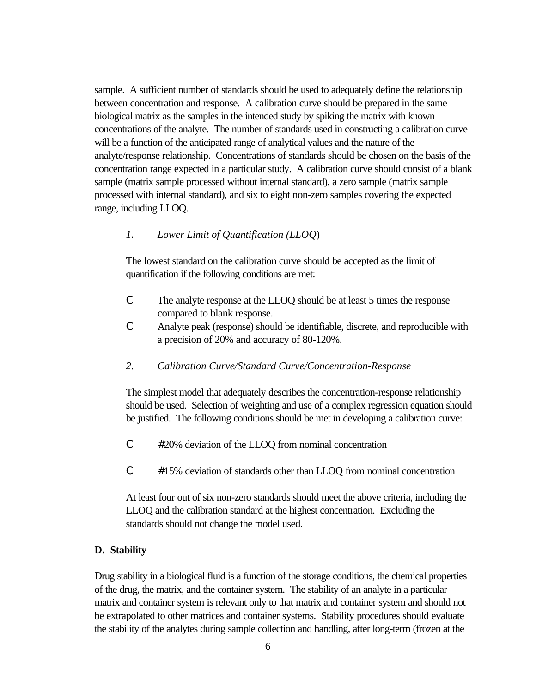sample. A sufficient number of standards should be used to adequately define the relationship between concentration and response. A calibration curve should be prepared in the same biological matrix as the samples in the intended study by spiking the matrix with known concentrations of the analyte. The number of standards used in constructing a calibration curve will be a function of the anticipated range of analytical values and the nature of the analyte/response relationship. Concentrations of standards should be chosen on the basis of the concentration range expected in a particular study. A calibration curve should consist of a blank sample (matrix sample processed without internal standard), a zero sample (matrix sample processed with internal standard), and six to eight non-zero samples covering the expected range, including LLOQ.

#### *1. Lower Limit of Quantification (LLOQ*)

The lowest standard on the calibration curve should be accepted as the limit of quantification if the following conditions are met:

- C The analyte response at the LLOQ should be at least 5 times the response compared to blank response.
- C Analyte peak (response) should be identifiable, discrete, and reproducible with a precision of 20% and accuracy of 80-120%.
- *2. Calibration Curve/Standard Curve/Concentration-Response*

The simplest model that adequately describes the concentration-response relationship should be used. Selection of weighting and use of a complex regression equation should be justified. The following conditions should be met in developing a calibration curve:

- C #20% deviation of the LLOQ from nominal concentration
- C #15% deviation of standards other than LLOQ from nominal concentration

At least four out of six non-zero standards should meet the above criteria, including the LLOQ and the calibration standard at the highest concentration. Excluding the standards should not change the model used.

#### **D. Stability**

Drug stability in a biological fluid is a function of the storage conditions, the chemical properties of the drug, the matrix, and the container system. The stability of an analyte in a particular matrix and container system is relevant only to that matrix and container system and should not be extrapolated to other matrices and container systems. Stability procedures should evaluate the stability of the analytes during sample collection and handling, after long-term (frozen at the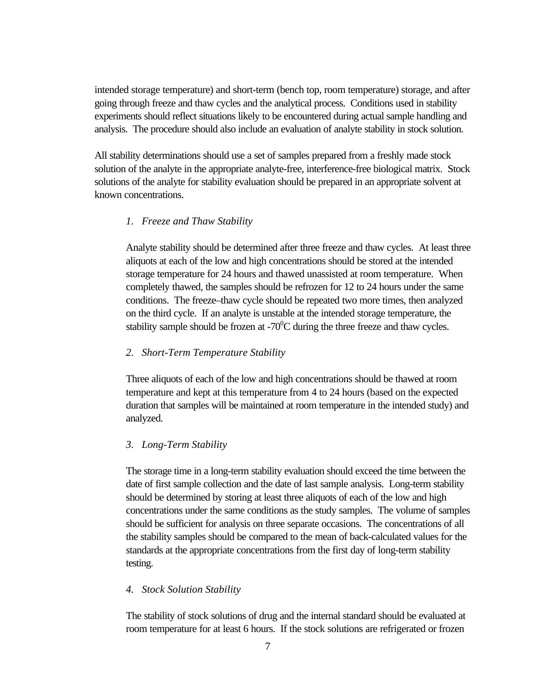intended storage temperature) and short-term (bench top, room temperature) storage, and after going through freeze and thaw cycles and the analytical process. Conditions used in stability experiments should reflect situations likely to be encountered during actual sample handling and analysis. The procedure should also include an evaluation of analyte stability in stock solution.

All stability determinations should use a set of samples prepared from a freshly made stock solution of the analyte in the appropriate analyte-free, interference-free biological matrix. Stock solutions of the analyte for stability evaluation should be prepared in an appropriate solvent at known concentrations.

#### *1. Freeze and Thaw Stability*

Analyte stability should be determined after three freeze and thaw cycles. At least three aliquots at each of the low and high concentrations should be stored at the intended storage temperature for 24 hours and thawed unassisted at room temperature. When completely thawed, the samples should be refrozen for 12 to 24 hours under the same conditions. The freeze–thaw cycle should be repeated two more times, then analyzed on the third cycle. If an analyte is unstable at the intended storage temperature, the stability sample should be frozen at  $-70^{\circ}$ C during the three freeze and thaw cycles.

#### *2. Short-Term Temperature Stability*

Three aliquots of each of the low and high concentrations should be thawed at room temperature and kept at this temperature from 4 to 24 hours (based on the expected duration that samples will be maintained at room temperature in the intended study) and analyzed.

#### *3. Long-Term Stability*

The storage time in a long-term stability evaluation should exceed the time between the date of first sample collection and the date of last sample analysis. Long-term stability should be determined by storing at least three aliquots of each of the low and high concentrations under the same conditions as the study samples. The volume of samples should be sufficient for analysis on three separate occasions. The concentrations of all the stability samples should be compared to the mean of back-calculated values for the standards at the appropriate concentrations from the first day of long-term stability testing.

#### *4. Stock Solution Stability*

The stability of stock solutions of drug and the internal standard should be evaluated at room temperature for at least 6 hours. If the stock solutions are refrigerated or frozen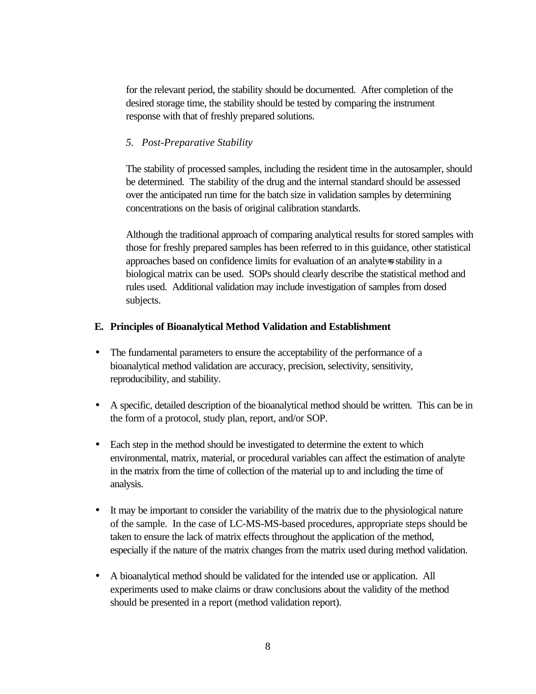for the relevant period, the stability should be documented. After completion of the desired storage time, the stability should be tested by comparing the instrument response with that of freshly prepared solutions.

#### *5. Post-Preparative Stability*

The stability of processed samples, including the resident time in the autosampler, should be determined. The stability of the drug and the internal standard should be assessed over the anticipated run time for the batch size in validation samples by determining concentrations on the basis of original calibration standards.

Although the traditional approach of comparing analytical results for stored samples with those for freshly prepared samples has been referred to in this guidance, other statistical approaches based on confidence limits for evaluation of an analyte=s stability in a biological matrix can be used. SOPs should clearly describe the statistical method and rules used. Additional validation may include investigation of samples from dosed subjects.

#### **E. Principles of Bioanalytical Method Validation and Establishment**

- The fundamental parameters to ensure the acceptability of the performance of a bioanalytical method validation are accuracy, precision, selectivity, sensitivity, reproducibility, and stability.
- A specific, detailed description of the bioanalytical method should be written. This can be in the form of a protocol, study plan, report, and/or SOP.
- Each step in the method should be investigated to determine the extent to which environmental, matrix, material, or procedural variables can affect the estimation of analyte in the matrix from the time of collection of the material up to and including the time of analysis.
- It may be important to consider the variability of the matrix due to the physiological nature of the sample. In the case of LC-MS-MS-based procedures, appropriate steps should be taken to ensure the lack of matrix effects throughout the application of the method, especially if the nature of the matrix changes from the matrix used during method validation.
- A bioanalytical method should be validated for the intended use or application. All experiments used to make claims or draw conclusions about the validity of the method should be presented in a report (method validation report).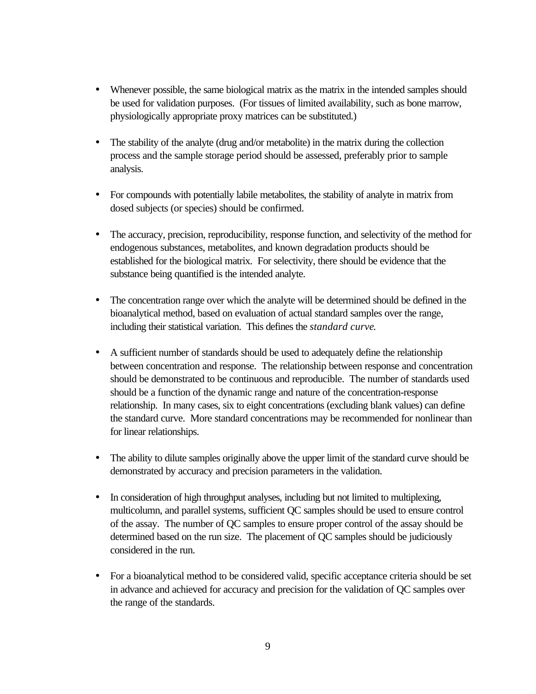- Whenever possible, the same biological matrix as the matrix in the intended samples should be used for validation purposes. (For tissues of limited availability, such as bone marrow, physiologically appropriate proxy matrices can be substituted.)
- The stability of the analyte (drug and/or metabolite) in the matrix during the collection process and the sample storage period should be assessed, preferably prior to sample analysis.
- For compounds with potentially labile metabolites, the stability of analyte in matrix from dosed subjects (or species) should be confirmed.
- The accuracy, precision, reproducibility, response function, and selectivity of the method for endogenous substances, metabolites, and known degradation products should be established for the biological matrix. For selectivity, there should be evidence that the substance being quantified is the intended analyte.
- The concentration range over which the analyte will be determined should be defined in the bioanalytical method, based on evaluation of actual standard samples over the range, including their statistical variation. This defines the *standard curve*.
- A sufficient number of standards should be used to adequately define the relationship between concentration and response. The relationship between response and concentration should be demonstrated to be continuous and reproducible. The number of standards used should be a function of the dynamic range and nature of the concentration-response relationship. In many cases, six to eight concentrations (excluding blank values) can define the standard curve. More standard concentrations may be recommended for nonlinear than for linear relationships.
- The ability to dilute samples originally above the upper limit of the standard curve should be demonstrated by accuracy and precision parameters in the validation.
- In consideration of high throughput analyses, including but not limited to multiplexing, multicolumn, and parallel systems, sufficient QC samples should be used to ensure control of the assay. The number of QC samples to ensure proper control of the assay should be determined based on the run size. The placement of QC samples should be judiciously considered in the run.
- For a bioanalytical method to be considered valid, specific acceptance criteria should be set in advance and achieved for accuracy and precision for the validation of QC samples over the range of the standards.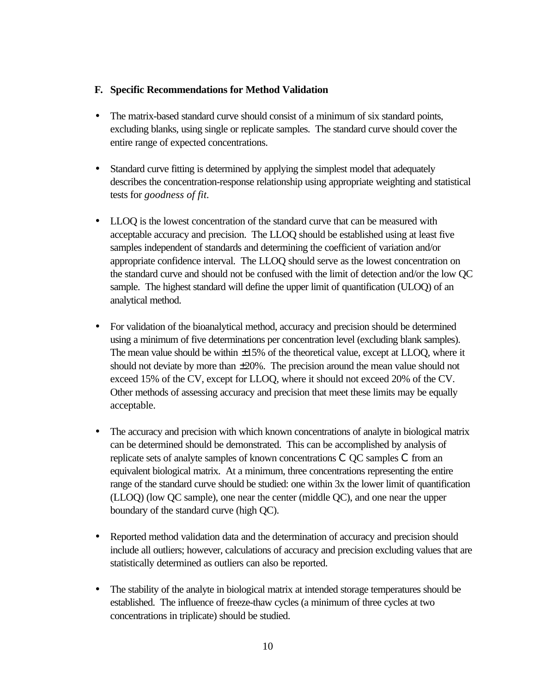#### **F. Specific Recommendations for Method Validation**

- The matrix-based standard curve should consist of a minimum of six standard points, excluding blanks, using single or replicate samples. The standard curve should cover the entire range of expected concentrations.
- Standard curve fitting is determined by applying the simplest model that adequately describes the concentration-response relationship using appropriate weighting and statistical tests for *goodness of fit.*
- LLOQ is the lowest concentration of the standard curve that can be measured with acceptable accuracy and precision. The LLOQ should be established using at least five samples independent of standards and determining the coefficient of variation and/or appropriate confidence interval. The LLOQ should serve as the lowest concentration on the standard curve and should not be confused with the limit of detection and/or the low QC sample. The highest standard will define the upper limit of quantification (ULOQ) of an analytical method.
- For validation of the bioanalytical method, accuracy and precision should be determined using a minimum of five determinations per concentration level (excluding blank samples). The mean value should be within  $\pm 15\%$  of the theoretical value, except at LLOQ, where it should not deviate by more than  $\pm 20\%$ . The precision around the mean value should not exceed 15% of the CV, except for LLOQ, where it should not exceed 20% of the CV. Other methods of assessing accuracy and precision that meet these limits may be equally acceptable.
- The accuracy and precision with which known concentrations of analyte in biological matrix can be determined should be demonstrated. This can be accomplished by analysis of replicate sets of analyte samples of known concentrations C QC samples C from an equivalent biological matrix. At a minimum, three concentrations representing the entire range of the standard curve should be studied: one within 3x the lower limit of quantification (LLOQ) (low QC sample), one near the center (middle QC), and one near the upper boundary of the standard curve (high QC).
- Reported method validation data and the determination of accuracy and precision should include all outliers; however, calculations of accuracy and precision excluding values that are statistically determined as outliers can also be reported.
- The stability of the analyte in biological matrix at intended storage temperatures should be established. The influence of freeze-thaw cycles (a minimum of three cycles at two concentrations in triplicate) should be studied.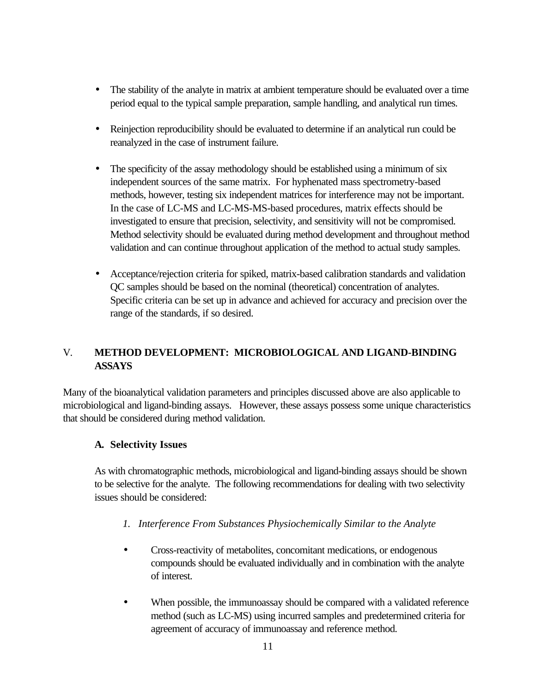- The stability of the analyte in matrix at ambient temperature should be evaluated over a time period equal to the typical sample preparation, sample handling, and analytical run times.
- Reinjection reproducibility should be evaluated to determine if an analytical run could be reanalyzed in the case of instrument failure.
- The specificity of the assay methodology should be established using a minimum of six independent sources of the same matrix. For hyphenated mass spectrometry-based methods, however, testing six independent matrices for interference may not be important. In the case of LC-MS and LC-MS-MS-based procedures, matrix effects should be investigated to ensure that precision, selectivity, and sensitivity will not be compromised. Method selectivity should be evaluated during method development and throughout method validation and can continue throughout application of the method to actual study samples.
- Acceptance/rejection criteria for spiked, matrix-based calibration standards and validation QC samples should be based on the nominal (theoretical) concentration of analytes. Specific criteria can be set up in advance and achieved for accuracy and precision over the range of the standards, if so desired.

#### V. **METHOD DEVELOPMENT: MICROBIOLOGICAL AND LIGAND-BINDING ASSAYS**

Many of the bioanalytical validation parameters and principles discussed above are also applicable to microbiological and ligand-binding assays. However, these assays possess some unique characteristics that should be considered during method validation.

#### **A. Selectivity Issues**

As with chromatographic methods, microbiological and ligand-binding assays should be shown to be selective for the analyte. The following recommendations for dealing with two selectivity issues should be considered:

#### *1. Interference From Substances Physiochemically Similar to the Analyte*

- Cross-reactivity of metabolites, concomitant medications, or endogenous compounds should be evaluated individually and in combination with the analyte of interest.
- When possible, the immunoassay should be compared with a validated reference method (such as LC-MS) using incurred samples and predetermined criteria for agreement of accuracy of immunoassay and reference method.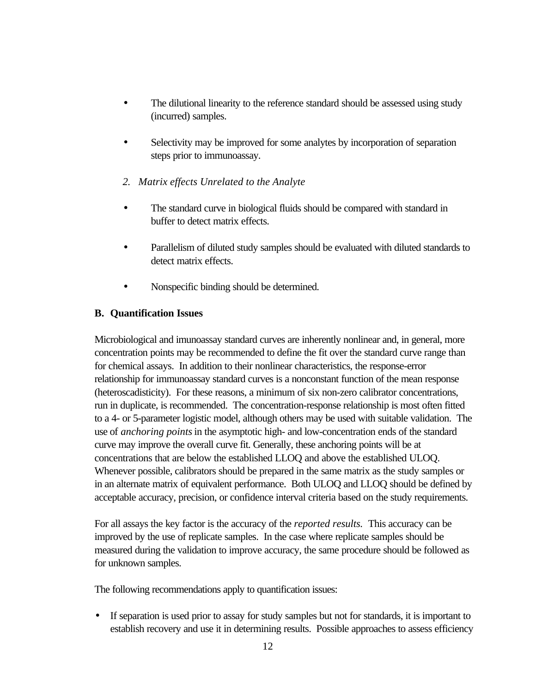- The dilutional linearity to the reference standard should be assessed using study (incurred) samples.
- Selectivity may be improved for some analytes by incorporation of separation steps prior to immunoassay.
- *2. Matrix effects Unrelated to the Analyte*
- The standard curve in biological fluids should be compared with standard in buffer to detect matrix effects.
- Parallelism of diluted study samples should be evaluated with diluted standards to detect matrix effects.
- Nonspecific binding should be determined.

#### **B. Quantification Issues**

Microbiological and imunoassay standard curves are inherently nonlinear and, in general, more concentration points may be recommended to define the fit over the standard curve range than for chemical assays. In addition to their nonlinear characteristics, the response-error relationship for immunoassay standard curves is a nonconstant function of the mean response (heteroscadisticity). For these reasons, a minimum of six non-zero calibrator concentrations, run in duplicate, is recommended. The concentration-response relationship is most often fitted to a 4- or 5-parameter logistic model, although others may be used with suitable validation. The use of *anchoring points* in the asymptotic high- and low-concentration ends of the standard curve may improve the overall curve fit. Generally, these anchoring points will be at concentrations that are below the established LLOQ and above the established ULOQ. Whenever possible, calibrators should be prepared in the same matrix as the study samples or in an alternate matrix of equivalent performance. Both ULOQ and LLOQ should be defined by acceptable accuracy, precision, or confidence interval criteria based on the study requirements.

For all assays the key factor is the accuracy of the *reported results.* This accuracy can be improved by the use of replicate samples. In the case where replicate samples should be measured during the validation to improve accuracy, the same procedure should be followed as for unknown samples.

The following recommendations apply to quantification issues:

• If separation is used prior to assay for study samples but not for standards, it is important to establish recovery and use it in determining results. Possible approaches to assess efficiency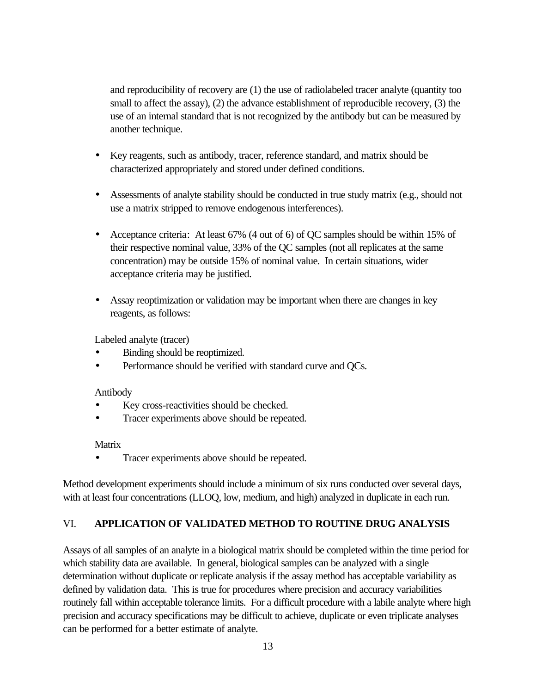and reproducibility of recovery are (1) the use of radiolabeled tracer analyte (quantity too small to affect the assay), (2) the advance establishment of reproducible recovery, (3) the use of an internal standard that is not recognized by the antibody but can be measured by another technique.

- Key reagents, such as antibody, tracer, reference standard, and matrix should be characterized appropriately and stored under defined conditions.
- Assessments of analyte stability should be conducted in true study matrix (e.g., should not use a matrix stripped to remove endogenous interferences).
- Acceptance criteria: At least 67% (4 out of 6) of QC samples should be within 15% of their respective nominal value, 33% of the QC samples (not all replicates at the same concentration) may be outside 15% of nominal value. In certain situations, wider acceptance criteria may be justified.
- Assay reoptimization or validation may be important when there are changes in key reagents, as follows:

Labeled analyte (tracer)

- Binding should be reoptimized.
- Performance should be verified with standard curve and QCs.

#### Antibody

- Key cross-reactivities should be checked.
- Tracer experiments above should be repeated.

#### **Matrix**

• Tracer experiments above should be repeated.

Method development experiments should include a minimum of six runs conducted over several days, with at least four concentrations (LLOQ, low, medium, and high) analyzed in duplicate in each run.

#### VI. **APPLICATION OF VALIDATED METHOD TO ROUTINE DRUG ANALYSIS**

Assays of all samples of an analyte in a biological matrix should be completed within the time period for which stability data are available. In general, biological samples can be analyzed with a single determination without duplicate or replicate analysis if the assay method has acceptable variability as defined by validation data. This is true for procedures where precision and accuracy variabilities routinely fall within acceptable tolerance limits. For a difficult procedure with a labile analyte where high precision and accuracy specifications may be difficult to achieve, duplicate or even triplicate analyses can be performed for a better estimate of analyte.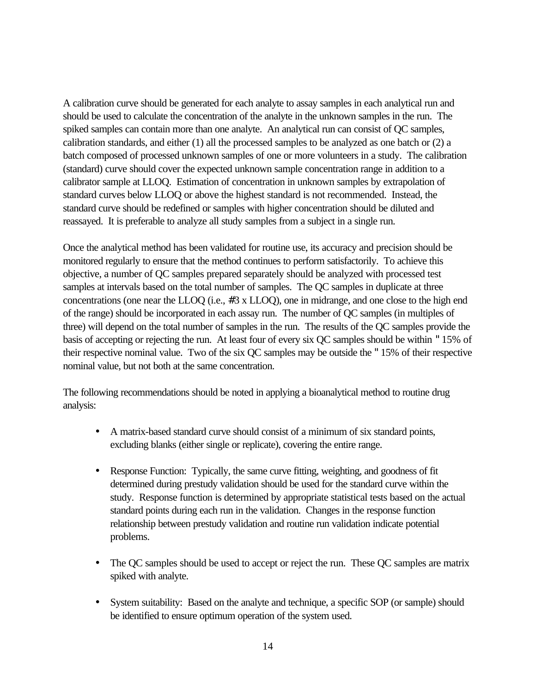A calibration curve should be generated for each analyte to assay samples in each analytical run and should be used to calculate the concentration of the analyte in the unknown samples in the run. The spiked samples can contain more than one analyte. An analytical run can consist of QC samples, calibration standards, and either (1) all the processed samples to be analyzed as one batch or (2) a batch composed of processed unknown samples of one or more volunteers in a study. The calibration (standard) curve should cover the expected unknown sample concentration range in addition to a calibrator sample at LLOQ. Estimation of concentration in unknown samples by extrapolation of standard curves below LLOQ or above the highest standard is not recommended. Instead, the standard curve should be redefined or samples with higher concentration should be diluted and reassayed. It is preferable to analyze all study samples from a subject in a single run.

Once the analytical method has been validated for routine use, its accuracy and precision should be monitored regularly to ensure that the method continues to perform satisfactorily. To achieve this objective, a number of QC samples prepared separately should be analyzed with processed test samples at intervals based on the total number of samples. The QC samples in duplicate at three concentrations (one near the LLOQ (i.e., #3 x LLOQ), one in midrange, and one close to the high end of the range) should be incorporated in each assay run. The number of QC samples (in multiples of three) will depend on the total number of samples in the run. The results of the QC samples provide the basis of accepting or rejecting the run. At least four of every six QC samples should be within "15% of their respective nominal value. Two of the six QC samples may be outside the "15% of their respective nominal value, but not both at the same concentration.

The following recommendations should be noted in applying a bioanalytical method to routine drug analysis:

- A matrix-based standard curve should consist of a minimum of six standard points, excluding blanks (either single or replicate), covering the entire range.
- Response Function: Typically, the same curve fitting, weighting, and goodness of fit determined during prestudy validation should be used for the standard curve within the study. Response function is determined by appropriate statistical tests based on the actual standard points during each run in the validation. Changes in the response function relationship between prestudy validation and routine run validation indicate potential problems.
- The QC samples should be used to accept or reject the run. These QC samples are matrix spiked with analyte.
- System suitability: Based on the analyte and technique, a specific SOP (or sample) should be identified to ensure optimum operation of the system used.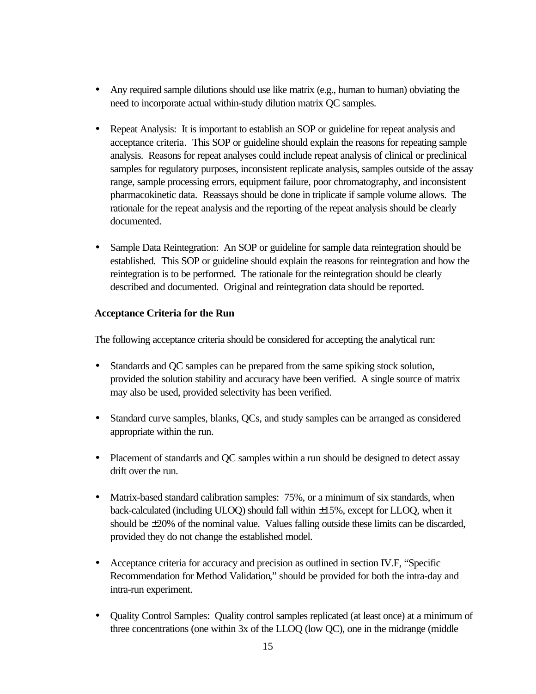- Any required sample dilutions should use like matrix (e.g., human to human) obviating the need to incorporate actual within-study dilution matrix QC samples.
- Repeat Analysis: It is important to establish an SOP or guideline for repeat analysis and acceptance criteria*.* This SOP or guideline should explain the reasons for repeating sample analysis. Reasons for repeat analyses could include repeat analysis of clinical or preclinical samples for regulatory purposes, inconsistent replicate analysis, samples outside of the assay range, sample processing errors, equipment failure, poor chromatography, and inconsistent pharmacokinetic data. Reassays should be done in triplicate if sample volume allows. The rationale for the repeat analysis and the reporting of the repeat analysis should be clearly documented.
- Sample Data Reintegration: An SOP or guideline for sample data reintegration should be established*.* This SOP or guideline should explain the reasons for reintegration and how the reintegration is to be performed. The rationale for the reintegration should be clearly described and documented. Original and reintegration data should be reported.

#### **Acceptance Criteria for the Run**

The following acceptance criteria should be considered for accepting the analytical run:

- Standards and QC samples can be prepared from the same spiking stock solution, provided the solution stability and accuracy have been verified. A single source of matrix may also be used, provided selectivity has been verified.
- Standard curve samples, blanks, QCs, and study samples can be arranged as considered appropriate within the run.
- Placement of standards and QC samples within a run should be designed to detect assay drift over the run.
- Matrix-based standard calibration samples: 75%, or a minimum of six standards, when back-calculated (including ULOQ) should fall within ±15%, except for LLOQ, when it should be  $\pm 20\%$  of the nominal value. Values falling outside these limits can be discarded, provided they do not change the established model.
- Acceptance criteria for accuracy and precision as outlined in section IV.F, "Specific Recommendation for Method Validation," should be provided for both the intra-day and intra-run experiment.
- Quality Control Samples: Quality control samples replicated (at least once) at a minimum of three concentrations (one within 3x of the LLOQ (low QC), one in the midrange (middle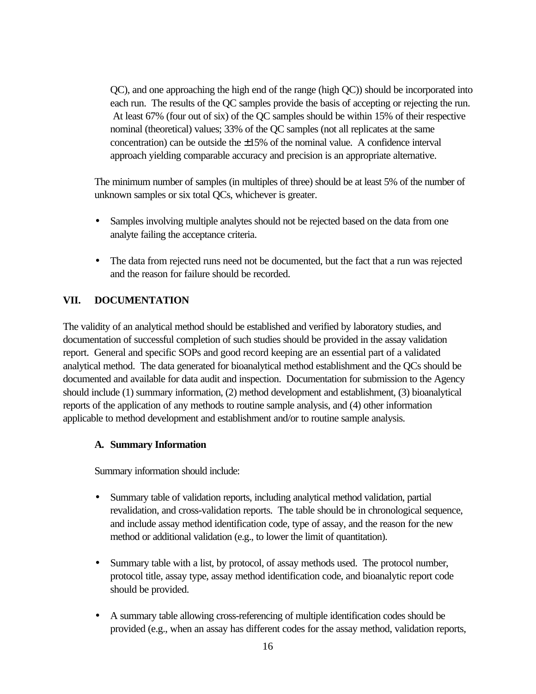QC), and one approaching the high end of the range (high QC)) should be incorporated into each run. The results of the QC samples provide the basis of accepting or rejecting the run. At least 67% (four out of six) of the QC samples should be within 15% of their respective nominal (theoretical) values; 33% of the QC samples (not all replicates at the same concentration) can be outside the  $\pm 15\%$  of the nominal value. A confidence interval approach yielding comparable accuracy and precision is an appropriate alternative.

The minimum number of samples (in multiples of three) should be at least 5% of the number of unknown samples or six total QCs, whichever is greater.

- Samples involving multiple analytes should not be rejected based on the data from one analyte failing the acceptance criteria.
- The data from rejected runs need not be documented, but the fact that a run was rejected and the reason for failure should be recorded.

#### **VII. DOCUMENTATION**

The validity of an analytical method should be established and verified by laboratory studies, and documentation of successful completion of such studies should be provided in the assay validation report. General and specific SOPs and good record keeping are an essential part of a validated analytical method. The data generated for bioanalytical method establishment and the QCs should be documented and available for data audit and inspection. Documentation for submission to the Agency should include (1) summary information, (2) method development and establishment, (3) bioanalytical reports of the application of any methods to routine sample analysis, and (4) other information applicable to method development and establishment and/or to routine sample analysis.

#### **A. Summary Information**

Summary information should include:

- Summary table of validation reports, including analytical method validation, partial revalidation, and cross-validation reports. The table should be in chronological sequence, and include assay method identification code, type of assay, and the reason for the new method or additional validation (e.g., to lower the limit of quantitation).
- Summary table with a list, by protocol, of assay methods used. The protocol number, protocol title, assay type, assay method identification code, and bioanalytic report code should be provided.
- A summary table allowing cross-referencing of multiple identification codes should be provided (e.g., when an assay has different codes for the assay method, validation reports,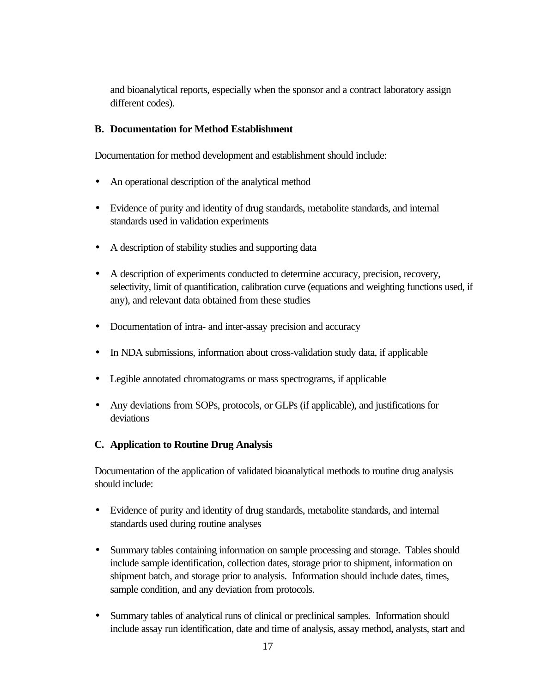and bioanalytical reports, especially when the sponsor and a contract laboratory assign different codes).

#### **B. Documentation for Method Establishment**

Documentation for method development and establishment should include:

- An operational description of the analytical method
- Evidence of purity and identity of drug standards, metabolite standards, and internal standards used in validation experiments
- A description of stability studies and supporting data
- A description of experiments conducted to determine accuracy, precision, recovery, selectivity, limit of quantification, calibration curve (equations and weighting functions used, if any), and relevant data obtained from these studies
- Documentation of intra- and inter-assay precision and accuracy
- In NDA submissions, information about cross-validation study data, if applicable
- Legible annotated chromatograms or mass spectrograms, if applicable
- Any deviations from SOPs, protocols, or GLPs (if applicable), and justifications for deviations

#### **C. Application to Routine Drug Analysis**

Documentation of the application of validated bioanalytical methods to routine drug analysis should include:

- Evidence of purity and identity of drug standards, metabolite standards, and internal standards used during routine analyses
- Summary tables containing information on sample processing and storage. Tables should include sample identification, collection dates, storage prior to shipment, information on shipment batch, and storage prior to analysis. Information should include dates, times, sample condition, and any deviation from protocols.
- Summary tables of analytical runs of clinical or preclinical samples. Information should include assay run identification, date and time of analysis, assay method, analysts, start and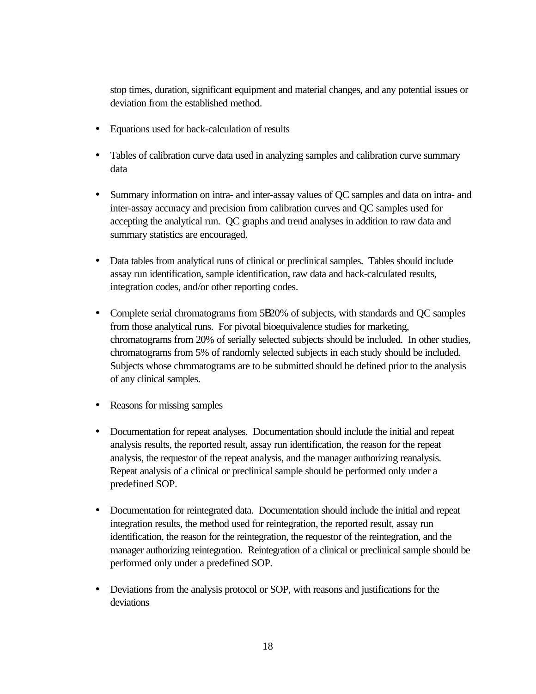stop times, duration, significant equipment and material changes, and any potential issues or deviation from the established method.

- Equations used for back-calculation of results
- Tables of calibration curve data used in analyzing samples and calibration curve summary data
- Summary information on intra- and inter-assay values of QC samples and data on intra- and inter-assay accuracy and precision from calibration curves and QC samples used for accepting the analytical run. QC graphs and trend analyses in addition to raw data and summary statistics are encouraged.
- Data tables from analytical runs of clinical or preclinical samples. Tables should include assay run identification, sample identification, raw data and back-calculated results, integration codes, and/or other reporting codes.
- Complete serial chromatograms from 5B20% of subjects, with standards and QC samples from those analytical runs. For pivotal bioequivalence studies for marketing, chromatograms from 20% of serially selected subjects should be included. In other studies, chromatograms from 5% of randomly selected subjects in each study should be included. Subjects whose chromatograms are to be submitted should be defined prior to the analysis of any clinical samples.
- Reasons for missing samples
- Documentation for repeat analyses. Documentation should include the initial and repeat analysis results, the reported result, assay run identification, the reason for the repeat analysis, the requestor of the repeat analysis, and the manager authorizing reanalysis. Repeat analysis of a clinical or preclinical sample should be performed only under a predefined SOP.
- Documentation for reintegrated data. Documentation should include the initial and repeat integration results, the method used for reintegration, the reported result, assay run identification, the reason for the reintegration, the requestor of the reintegration, and the manager authorizing reintegration. Reintegration of a clinical or preclinical sample should be performed only under a predefined SOP.
- Deviations from the analysis protocol or SOP, with reasons and justifications for the deviations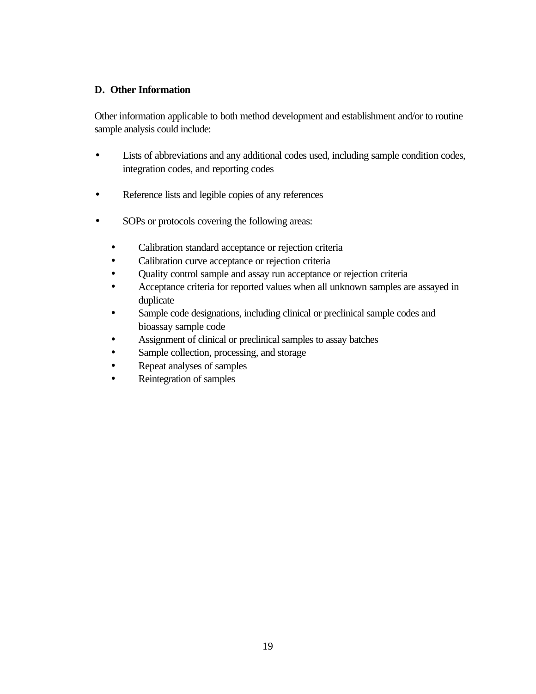#### **D. Other Information**

Other information applicable to both method development and establishment and/or to routine sample analysis could include:

- Lists of abbreviations and any additional codes used, including sample condition codes, integration codes, and reporting codes
- Reference lists and legible copies of any references
- SOPs or protocols covering the following areas:
	- Calibration standard acceptance or rejection criteria
	- Calibration curve acceptance or rejection criteria
	- Quality control sample and assay run acceptance or rejection criteria
	- Acceptance criteria for reported values when all unknown samples are assayed in duplicate
	- Sample code designations, including clinical or preclinical sample codes and bioassay sample code
	- Assignment of clinical or preclinical samples to assay batches
	- Sample collection, processing, and storage
	- Repeat analyses of samples
	- Reintegration of samples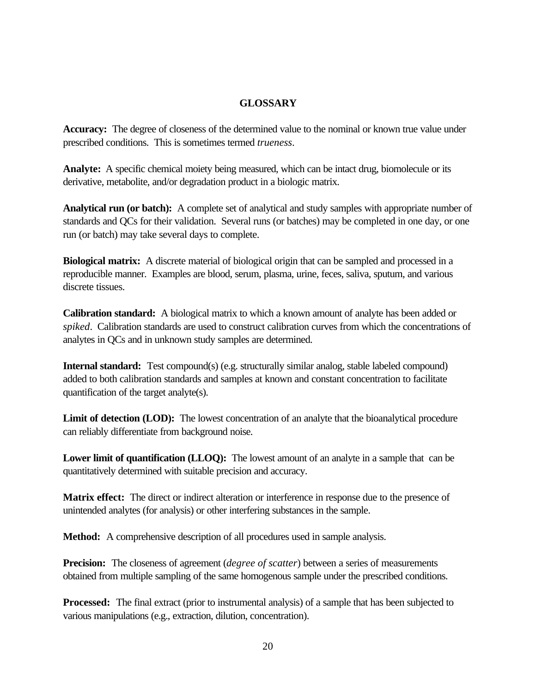#### **GLOSSARY**

**Accuracy:** The degree of closeness of the determined value to the nominal or known true value under prescribed conditions. This is sometimes termed *trueness*.

**Analyte:** A specific chemical moiety being measured, which can be intact drug, biomolecule or its derivative, metabolite, and/or degradation product in a biologic matrix.

**Analytical run (or batch):** A complete set of analytical and study samples with appropriate number of standards and QCs for their validation. Several runs (or batches) may be completed in one day, or one run (or batch) may take several days to complete.

**Biological matrix:** A discrete material of biological origin that can be sampled and processed in a reproducible manner. Examples are blood, serum, plasma, urine, feces, saliva, sputum, and various discrete tissues.

**Calibration standard:** A biological matrix to which a known amount of analyte has been added or *spiked*. Calibration standards are used to construct calibration curves from which the concentrations of analytes in QCs and in unknown study samples are determined.

**Internal standard:** Test compound(s) (e.g. structurally similar analog, stable labeled compound) added to both calibration standards and samples at known and constant concentration to facilitate quantification of the target analyte(s).

Limit of detection (LOD): The lowest concentration of an analyte that the bioanalytical procedure can reliably differentiate from background noise.

**Lower limit of quantification (LLOQ):** The lowest amount of an analyte in a sample that can be quantitatively determined with suitable precision and accuracy.

**Matrix effect:** The direct or indirect alteration or interference in response due to the presence of unintended analytes (for analysis) or other interfering substances in the sample.

**Method:** A comprehensive description of all procedures used in sample analysis.

**Precision:** The closeness of agreement (*degree of scatter*) between a series of measurements obtained from multiple sampling of the same homogenous sample under the prescribed conditions.

**Processed:** The final extract (prior to instrumental analysis) of a sample that has been subjected to various manipulations (e.g., extraction, dilution, concentration).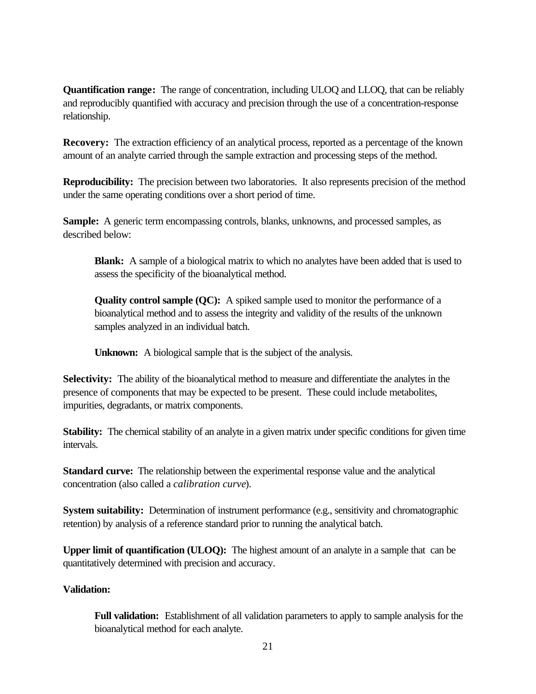**Quantification range:**The range of concentration, including ULOQ and LLOQ, that can be reliably and reproducibly quantified with accuracy and precision through the use of a concentration-response relationship.

**Recovery:** The extraction efficiency of an analytical process, reported as a percentage of the known amount of an analyte carried through the sample extraction and processing steps of the method.

**Reproducibility:** The precision between two laboratories. It also represents precision of the method under the same operating conditions over a short period of time.

**Sample:**A generic term encompassing controls, blanks, unknowns, and processed samples, as described below:

**Blank:**A sample of a biological matrix to which no analytes have been added that is used to assess the specificity of the bioanalytical method.

**Quality control sample (QC):**A spiked sample used to monitor the performance of a bioanalytical method and to assess the integrity and validity of the results of the unknown samples analyzed in an individual batch.

**Unknown:**A biological sample that is the subject of the analysis.

**Selectivity:** The ability of the bioanalytical method to measure and differentiate the analytes in the presence of components that may be expected to be present. These could include metabolites, impurities, degradants, or matrix components.

**Stability:** The chemical stability of an analyte in a given matrix under specific conditions for given time intervals.

**Standard curve:** The relationship between the experimental response value and the analytical concentration (also called a *calibration curve*).

**System suitability:** Determination of instrument performance (e.g., sensitivity and chromatographic retention) by analysis of a reference standard prior to running the analytical batch.

**Upper limit of quantification (ULOQ):** The highest amount of an analyte in a sample that can be quantitatively determined with precision and accuracy.

#### **Validation:**

**Full validation:** Establishment of all validation parameters to apply to sample analysis for the bioanalytical method for each analyte.